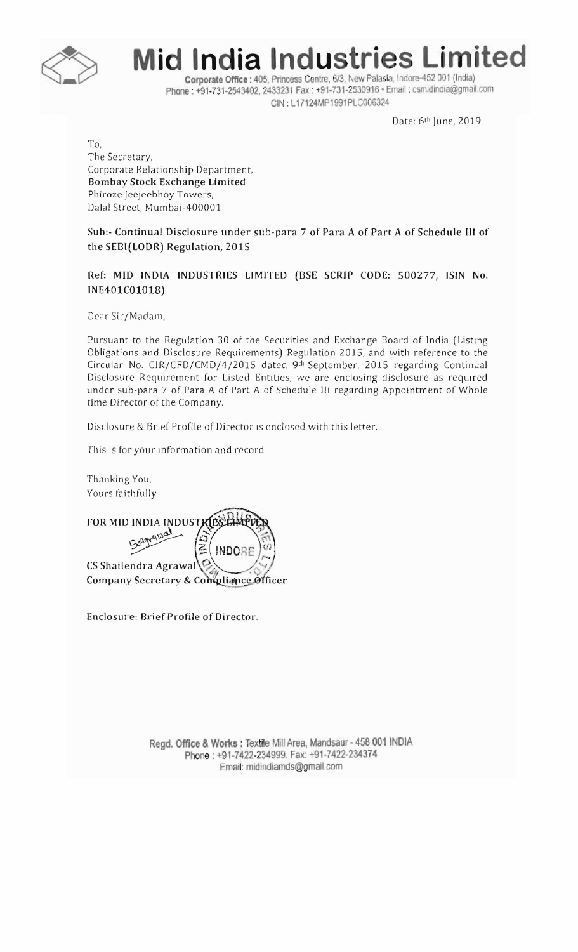

## **Mid India Industries Limited**

Corporate Office: 405, Princess Centre, 6/3, New Palasia, Indore-452 001 (India) Phone: +91-731-2543402, 2433231 Fax: +91-731-2530916 · Email: csmidindia@gmail.com CIN: L17124MP1991PLC006324

Date: 6th June, 2019

To, The Secretary, Corporate Relationship Department, **Bombay Stock Exchange Limited** Phiroze Jeejeebhoy Towers, Dalal Street. Mumbai-400001

Sub:- Continual Disclosure under sub-para 7 of Para A of Part A of Schedule III of the SEBI(LODR) Regulation, 2015

Ref: MID INDIA INDUSTRIES LIMITED (BSE SCRIP CODE: 500277, ISIN No. INE401C01018)

Dear Sir/Madam,

Pursuant to the Regulation 30 of the Securities and Exchange Board of India (Listing Obligations and Disclosure Requirements) Regulation 2015, and with reference to the Circular No. CIR/CFD/CMD/4/2015 dated 9th September, 2015 regarding Continual Disclosure Requirement for Listed Entities, we are enclosing disclosure as required under sub-para 7 of Para A of Part A of Schedule III regarding Appointment of Whole time Director of the Company.

Disclosure & Brief Profile of Director is enclosed with this letter.

This is for your information and record

Thanking You, Yours faithfully

FOR MID INDIA INDUSTRIES **INDORF** CS Shailendra Agrawal Company Secretary & Compliance Officer

Enclosure: Brief Profile of Director.

Regd. Office & Works : Textile Mill Area, Mandsaur - 458 001 INDIA Phone: +91-7422-234999. Fax: +91-7422-234374 Email: midindiamds@gmail.com